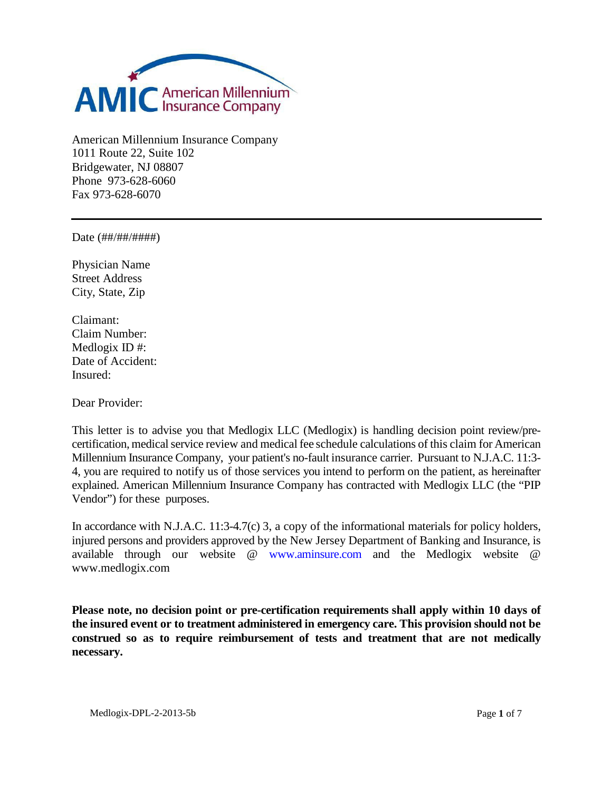

American Millennium Insurance Company 1011 Route 22, Suite 102 Bridgewater, NJ 08807 Phone 973-628-6060 Fax 973-628-6070

Date (##/##/####)

Physician Name Street Address City, State, Zip

Claimant: Claim Number: Medlogix ID #: Date of Accident: Insured:

Dear Provider:

This letter is to advise you that Medlogix LLC (Medlogix) is handling decision point review/precertification, medical service review and medical fee schedule calculations of this claim for American Millennium Insurance Company, your patient's no-fault insurance carrier. Pursuant to N.J.A.C. 11:3- 4, you are required to notify us of those services you intend to perform on the patient, as hereinafter explained. American Millennium Insurance Company has contracted with Medlogix LLC (the "PIP Vendor") for these purposes.

In accordance with N.J.A.C. 11:3-4.7(c) 3, a copy of the informational materials for policy holders, injured persons and providers approved by the New Jersey Department of Banking and Insurance, is available through our website @ [www.aminsure.com](http://www.aminsure.com/) and the Medlogix website @ www.medlogix.com

**Please note, no decision point or pre-certification requirements shall apply within 10 days of the insured event or to treatment administered in emergency care. This provision should not be construed so as to require reimbursement of tests and treatment that are not medically necessary.**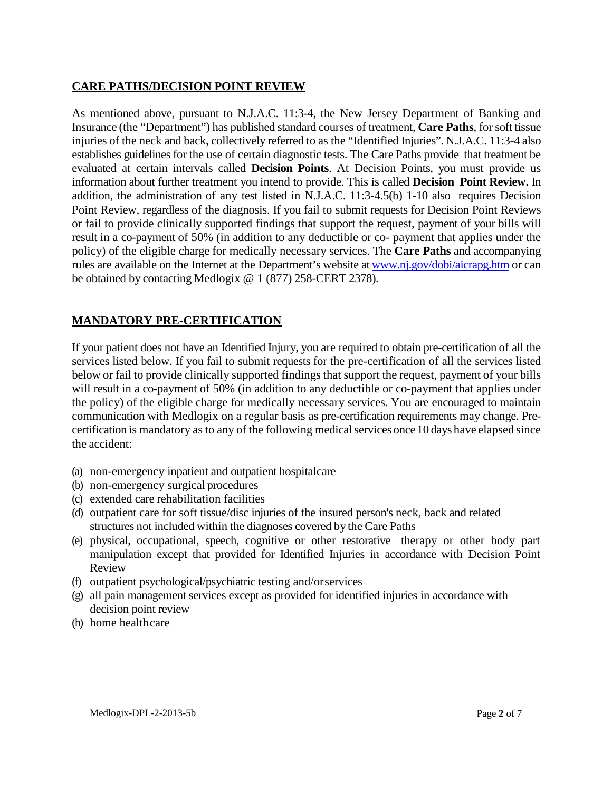## **CARE PATHS/DECISION POINT REVIEW**

As mentioned above, pursuant to N.J.A.C. 11:3-4, the New Jersey Department of Banking and Insurance (the "Department") has published standard courses of treatment, **Care Paths**, for soft tissue injuries of the neck and back, collectively referred to as the "Identified Injuries". N.J.A.C. 11:3-4 also establishes guidelines for the use of certain diagnostic tests. The Care Paths provide that treatment be evaluated at certain intervals called **Decision Points**. At Decision Points, you must provide us information about further treatment you intend to provide. This is called **Decision Point Review.** In addition, the administration of any test listed in N.J.A.C. 11:3-4.5(b) 1-10 also requires Decision Point Review, regardless of the diagnosis. If you fail to submit requests for Decision Point Reviews or fail to provide clinically supported findings that support the request, payment of your bills will result in a co-payment of 50% (in addition to any deductible or co- payment that applies under the policy) of the eligible charge for medically necessary services. The **Care Paths** and accompanying rules are available on the Internet at the Department's website a[t www.nj.gov/dobi/aicrapg.htm](http://www.nj.gov/dobi/aicrapg.htm) or can be obtained by contacting Medlogix @ 1 (877) 258-CERT 2378).

# **MANDATORY PRE-CERTIFICATION**

If your patient does not have an Identified Injury, you are required to obtain pre-certification of all the services listed below. If you fail to submit requests for the pre-certification of all the services listed below or fail to provide clinically supported findings that support the request, payment of your bills will result in a co-payment of 50% (in addition to any deductible or co-payment that applies under the policy) of the eligible charge for medically necessary services. You are encouraged to maintain communication with Medlogix on a regular basis as pre-certification requirements may change. Precertification is mandatory as to any of the following medical services once10 days have elapsed since the accident:

- (a) non-emergency inpatient and outpatient hospitalcare
- (b) non-emergency surgical procedures
- (c) extended care rehabilitation facilities
- (d) outpatient care for soft tissue/disc injuries of the insured person's neck, back and related structures not included within the diagnoses covered by the Care Paths
- (e) physical, occupational, speech, cognitive or other restorative therapy or other body part manipulation except that provided for Identified Injuries in accordance with Decision Point Review
- (f) outpatient psychological/psychiatric testing and/orservices
- (g) all pain management services except as provided for identified injuries in accordance with decision point review
- (h) home healthcare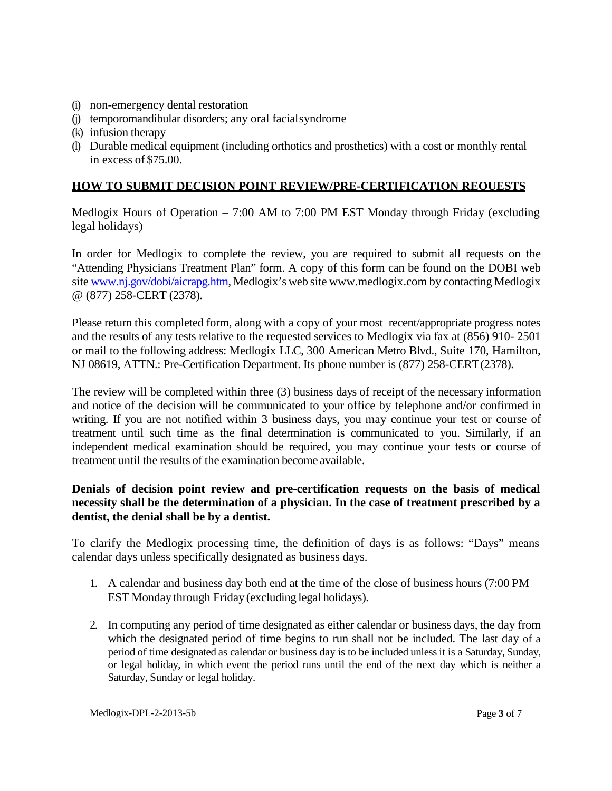- (i) non-emergency dental restoration
- (j) temporomandibular disorders; any oral facialsyndrome
- (k) infusion therapy
- (l) Durable medical equipment (including orthotics and prosthetics) with a cost or monthly rental in excess of \$75.00.

### **HOW TO SUBMIT DECISION POINT REVIEW/PRE-CERTIFICATION REQUESTS**

Medlogix Hours of Operation – 7:00 AM to 7:00 PM EST Monday through Friday (excluding legal holidays)

In order for Medlogix to complete the review, you are required to submit all requests on the "Attending Physicians Treatment Plan" form. A copy of this form can be found on the DOBI web site [www.nj.gov/dobi/aicrapg.htm, M](http://www.nj.gov/dobi/aicrapg.htm)edlogix's web site www.medlogix.com by contacting Medlogix @ (877) 258-CERT (2378).

Please return this completed form, along with a copy of your most recent/appropriate progress notes and the results of any tests relative to the requested services to Medlogix via fax at (856) 910- 2501 or mail to the following address: Medlogix LLC, 300 American Metro Blvd., Suite 170, Hamilton, NJ 08619, ATTN.: Pre-Certification Department. Its phone number is (877) 258-CERT(2378).

The review will be completed within three (3) business days of receipt of the necessary information and notice of the decision will be communicated to your office by telephone and/or confirmed in writing. If you are not notified within 3 business days, you may continue your test or course of treatment until such time as the final determination is communicated to you. Similarly, if an independent medical examination should be required, you may continue your tests or course of treatment until the results of the examination become available.

### **Denials of decision point review and pre-certification requests on the basis of medical necessity shall be the determination of a physician. In the case of treatment prescribed by a dentist, the denial shall be by a dentist.**

To clarify the Medlogix processing time, the definition of days is as follows: "Days" means calendar days unless specifically designated as business days.

- 1. A calendar and business day both end at the time of the close of business hours (7:00 PM EST Monday through Friday (excluding legal holidays).
- 2. In computing any period of time designated as either calendar or business days, the day from which the designated period of time begins to run shall not be included. The last day of a period of time designated as calendar or business day is to be included unless it is a Saturday, Sunday, or legal holiday, in which event the period runs until the end of the next day which is neither a Saturday, Sunday or legal holiday.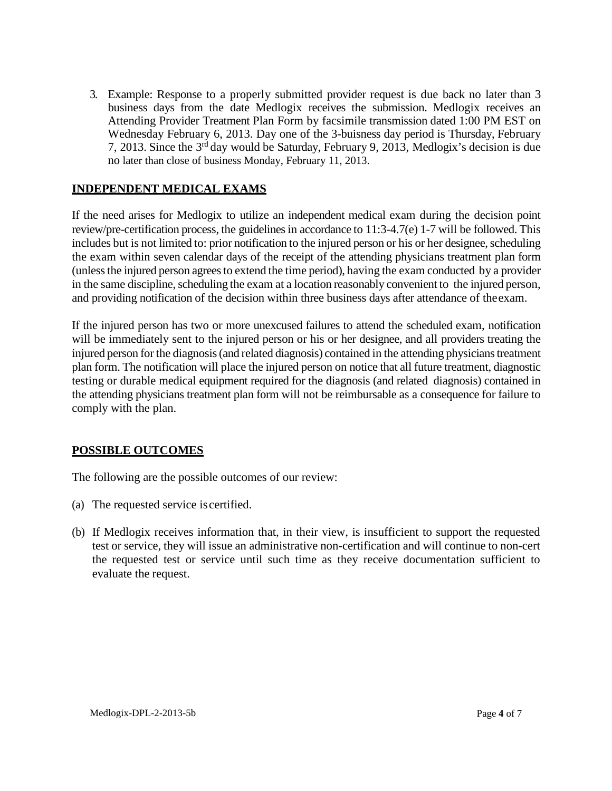3. Example: Response to a properly submitted provider request is due back no later than 3 business days from the date Medlogix receives the submission. Medlogix receives an Attending Provider Treatment Plan Form by facsimile transmission dated 1:00 PM EST on Wednesday February 6, 2013. Day one of the 3-buisness day period is Thursday, February 7, 2013. Since the 3rd day would be Saturday, February 9, 2013, Medlogix's decision is due no later than close of business Monday, February 11, 2013.

#### **INDEPENDENT MEDICAL EXAMS**

If the need arises for Medlogix to utilize an independent medical exam during the decision point review/pre-certification process, the guidelines in accordance to 11:3-4.7(e) 1-7 will be followed. This includes but is not limited to: prior notification to the injured person or his or her designee, scheduling the exam within seven calendar days of the receipt of the attending physicians treatment plan form (unless the injured person agrees to extend the time period), having the exam conducted by a provider in the same discipline, scheduling the exam at a location reasonably convenient to the injured person, and providing notification of the decision within three business days after attendance of theexam.

If the injured person has two or more unexcused failures to attend the scheduled exam, notification will be immediately sent to the injured person or his or her designee, and all providers treating the injured person for the diagnosis (and related diagnosis) contained in the attending physicians treatment plan form. The notification will place the injured person on notice that all future treatment, diagnostic testing or durable medical equipment required for the diagnosis (and related diagnosis) contained in the attending physicians treatment plan form will not be reimbursable as a consequence for failure to comply with the plan.

### **POSSIBLE OUTCOMES**

The following are the possible outcomes of our review:

- (a) The requested service iscertified.
- (b) If Medlogix receives information that, in their view, is insufficient to support the requested test or service, they will issue an administrative non-certification and will continue to non-cert the requested test or service until such time as they receive documentation sufficient to evaluate the request.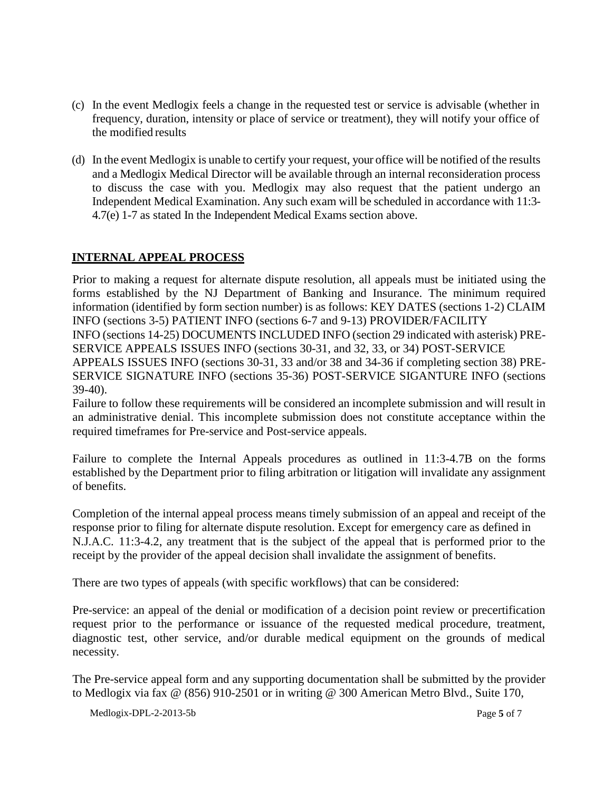- (c) In the event Medlogix feels a change in the requested test or service is advisable (whether in frequency, duration, intensity or place of service or treatment), they will notify your office of the modified results
- (d) In the event Medlogix is unable to certify your request, your office will be notified of the results and a Medlogix Medical Director will be available through an internal reconsideration process to discuss the case with you. Medlogix may also request that the patient undergo an Independent Medical Examination. Any such exam will be scheduled in accordance with 11:3- 4.7(e) 1-7 as stated In the Independent Medical Exams section above.

### **INTERNAL APPEAL PROCESS**

Prior to making a request for alternate dispute resolution, all appeals must be initiated using the forms established by the NJ Department of Banking and Insurance. The minimum required information (identified by form section number) is as follows: KEY DATES (sections 1-2) CLAIM INFO (sections 3-5) PATIENT INFO (sections 6-7 and 9-13) PROVIDER/FACILITY INFO (sections 14-25) DOCUMENTS INCLUDED INFO (section 29 indicated with asterisk) PRE-SERVICE APPEALS ISSUES INFO (sections 30-31, and 32, 33, or 34) POST-SERVICE APPEALS ISSUES INFO (sections 30-31, 33 and/or 38 and 34-36 if completing section 38) PRE-SERVICE SIGNATURE INFO (sections 35-36) POST-SERVICE SIGANTURE INFO (sections 39-40).

Failure to follow these requirements will be considered an incomplete submission and will result in an administrative denial. This incomplete submission does not constitute acceptance within the required timeframes for Pre-service and Post-service appeals.

Failure to complete the Internal Appeals procedures as outlined in 11:3-4.7B on the forms established by the Department prior to filing arbitration or litigation will invalidate any assignment of benefits.

Completion of the internal appeal process means timely submission of an appeal and receipt of the response prior to filing for alternate dispute resolution. Except for emergency care as defined in N.J.A.C. 11:3-4.2, any treatment that is the subject of the appeal that is performed prior to the receipt by the provider of the appeal decision shall invalidate the assignment of benefits.

There are two types of appeals (with specific workflows) that can be considered:

Pre-service: an appeal of the denial or modification of a decision point review or precertification request prior to the performance or issuance of the requested medical procedure, treatment, diagnostic test, other service, and/or durable medical equipment on the grounds of medical necessity.

The Pre-service appeal form and any supporting documentation shall be submitted by the provider to Medlogix via fax @ (856) 910-2501 or in writing @ 300 American Metro Blvd., Suite 170,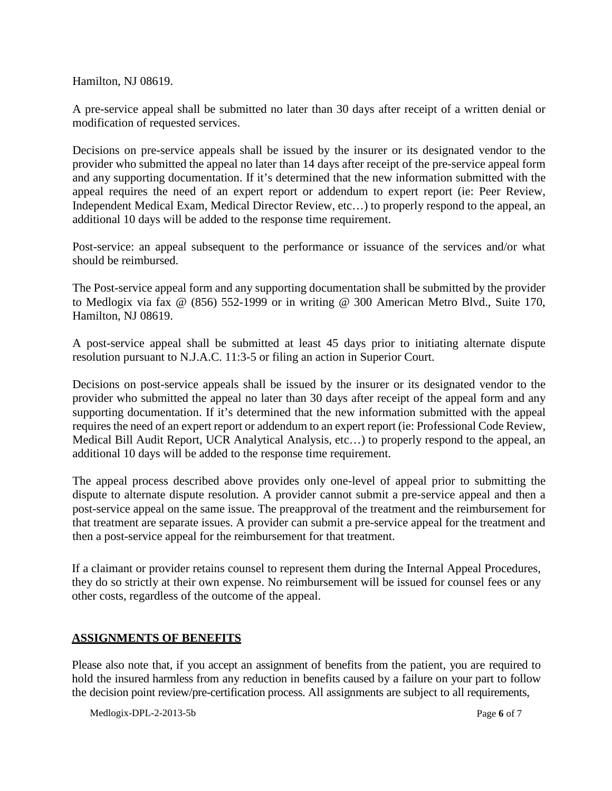Hamilton, NJ 08619.

A pre-service appeal shall be submitted no later than 30 days after receipt of a written denial or modification of requested services.

Decisions on pre-service appeals shall be issued by the insurer or its designated vendor to the provider who submitted the appeal no later than 14 days after receipt of the pre-service appeal form and any supporting documentation. If it's determined that the new information submitted with the appeal requires the need of an expert report or addendum to expert report (ie: Peer Review, Independent Medical Exam, Medical Director Review, etc…) to properly respond to the appeal, an additional 10 days will be added to the response time requirement.

Post-service: an appeal subsequent to the performance or issuance of the services and/or what should be reimbursed.

The Post-service appeal form and any supporting documentation shall be submitted by the provider to Medlogix via fax @ (856) 552-1999 or in writing @ 300 American Metro Blvd., Suite 170, Hamilton, NJ 08619.

A post-service appeal shall be submitted at least 45 days prior to initiating alternate dispute resolution pursuant to N.J.A.C. 11:3-5 or filing an action in Superior Court.

Decisions on post-service appeals shall be issued by the insurer or its designated vendor to the provider who submitted the appeal no later than 30 days after receipt of the appeal form and any supporting documentation. If it's determined that the new information submitted with the appeal requires the need of an expert report or addendum to an expert report (ie: Professional Code Review, Medical Bill Audit Report, UCR Analytical Analysis, etc…) to properly respond to the appeal, an additional 10 days will be added to the response time requirement.

The appeal process described above provides only one-level of appeal prior to submitting the dispute to alternate dispute resolution. A provider cannot submit a pre-service appeal and then a post-service appeal on the same issue. The preapproval of the treatment and the reimbursement for that treatment are separate issues. A provider can submit a pre-service appeal for the treatment and then a post-service appeal for the reimbursement for that treatment.

If a claimant or provider retains counsel to represent them during the Internal Appeal Procedures, they do so strictly at their own expense. No reimbursement will be issued for counsel fees or any other costs, regardless of the outcome of the appeal.

#### **ASSIGNMENTS OF BENEFITS**

Please also note that, if you accept an assignment of benefits from the patient, you are required to hold the insured harmless from any reduction in benefits caused by a failure on your part to follow the decision point review/pre-certification process. All assignments are subject to all requirements,

Medlogix-DPL-2-2013-5b **Page 6** of 7